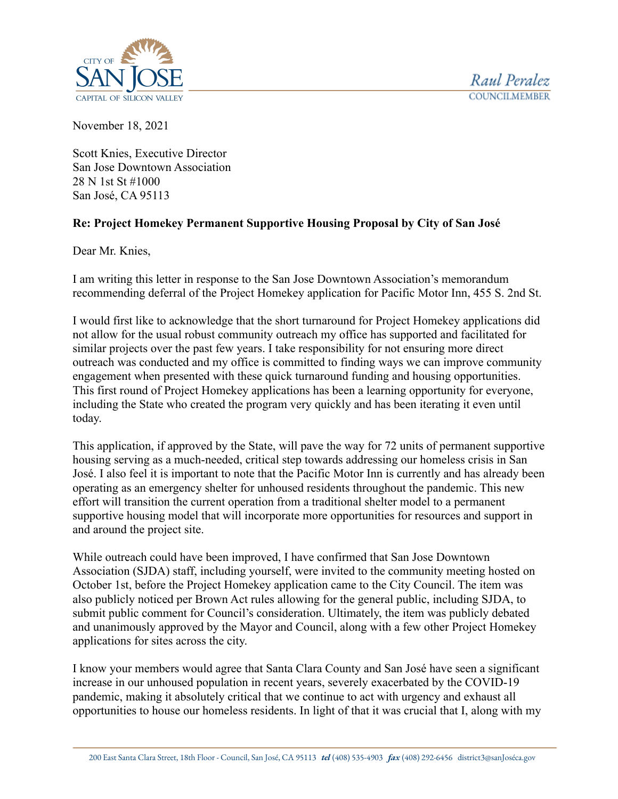



November 18, 2021

Scott Knies, Executive Director San Jose Downtown Association 28 N 1st St #1000 San José, CA 95113

## **Re: Project Homekey Permanent Supportive Housing Proposal by City of San José**

Dear Mr. Knies,

I am writing this letter in response to the San Jose Downtown Association's memorandum recommending deferral of the Project Homekey application for Pacific Motor Inn, 455 S. 2nd St.

I would first like to acknowledge that the short turnaround for Project Homekey applications did not allow for the usual robust community outreach my office has supported and facilitated for similar projects over the past few years. I take responsibility for not ensuring more direct outreach was conducted and my office is committed to finding ways we can improve community engagement when presented with these quick turnaround funding and housing opportunities. This first round of Project Homekey applications has been a learning opportunity for everyone, including the State who created the program very quickly and has been iterating it even until today.

This application, if approved by the State, will pave the way for 72 units of permanent supportive housing serving as a much-needed, critical step towards addressing our homeless crisis in San José. I also feel it is important to note that the Pacific Motor Inn is currently and has already been operating as an emergency shelter for unhoused residents throughout the pandemic. This new effort will transition the current operation from a traditional shelter model to a permanent supportive housing model that will incorporate more opportunities for resources and support in and around the project site.

While outreach could have been improved, I have confirmed that San Jose Downtown Association (SJDA) staff, including yourself, were invited to the community meeting hosted on October 1st, before the Project Homekey application came to the City Council. The item was also publicly noticed per Brown Act rules allowing for the general public, including SJDA, to submit public comment for Council's consideration. Ultimately, the item was publicly debated and unanimously approved by the Mayor and Council, along with a few other Project Homekey applications for sites across the city.

I know your members would agree that Santa Clara County and San José have seen a significant increase in our unhoused population in recent years, severely exacerbated by the COVID-19 pandemic, making it absolutely critical that we continue to act with urgency and exhaust all opportunities to house our homeless residents. In light of that it was crucial that I, along with my